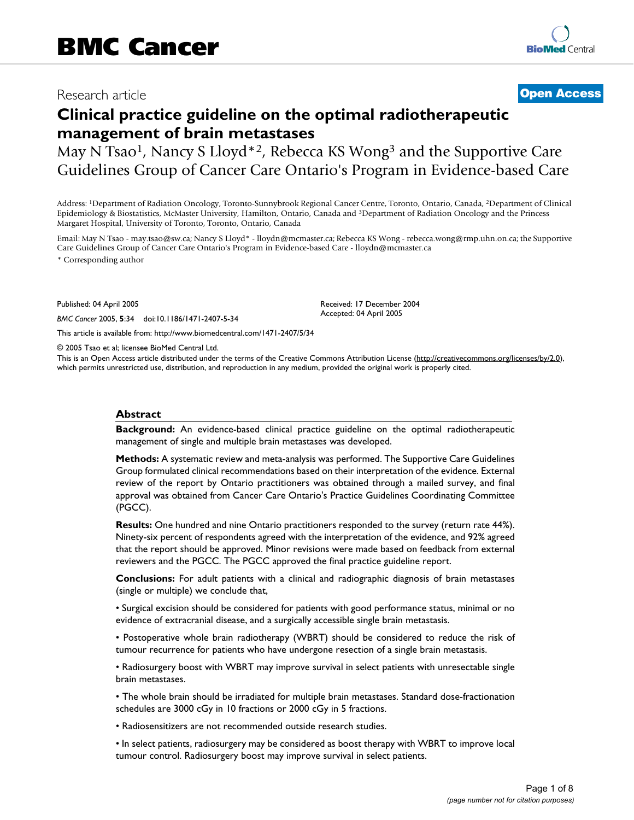## Research article **[Open Access](http://www.biomedcentral.com/info/about/charter/)**

# **Clinical practice guideline on the optimal radiotherapeutic management of brain metastases**

May N Tsao<sup>1</sup>, Nancy S Lloyd<sup>\*2</sup>, Rebecca KS Wong<sup>3</sup> and the Supportive Care Guidelines Group of Cancer Care Ontario's Program in Evidence-based Care

Address: 1Department of Radiation Oncology, Toronto-Sunnybrook Regional Cancer Centre, Toronto, Ontario, Canada, 2Department of Clinical Epidemiology & Biostatistics, McMaster University, Hamilton, Ontario, Canada and 3Department of Radiation Oncology and the Princess Margaret Hospital, University of Toronto, Toronto, Ontario, Canada

Email: May N Tsao - may.tsao@sw.ca; Nancy S Lloyd\* - lloydn@mcmaster.ca; Rebecca KS Wong - rebecca.wong@rmp.uhn.on.ca; the Supportive Care Guidelines Group of Cancer Care Ontario's Program in Evidence-based Care - lloydn@mcmaster.ca

> Received: 17 December 2004 Accepted: 04 April 2005

\* Corresponding author

Published: 04 April 2005

*BMC Cancer* 2005, **5**:34 doi:10.1186/1471-2407-5-34

[This article is available from: http://www.biomedcentral.com/1471-2407/5/34](http://www.biomedcentral.com/1471-2407/5/34)

© 2005 Tsao et al; licensee BioMed Central Ltd.

This is an Open Access article distributed under the terms of the Creative Commons Attribution License [\(http://creativecommons.org/licenses/by/2.0\)](http://creativecommons.org/licenses/by/2.0), which permits unrestricted use, distribution, and reproduction in any medium, provided the original work is properly cited.

#### **Abstract**

**Background:** An evidence-based clinical practice guideline on the optimal radiotherapeutic management of single and multiple brain metastases was developed.

**Methods:** A systematic review and meta-analysis was performed. The Supportive Care Guidelines Group formulated clinical recommendations based on their interpretation of the evidence. External review of the report by Ontario practitioners was obtained through a mailed survey, and final approval was obtained from Cancer Care Ontario's Practice Guidelines Coordinating Committee (PGCC).

**Results:** One hundred and nine Ontario practitioners responded to the survey (return rate 44%). Ninety-six percent of respondents agreed with the interpretation of the evidence, and 92% agreed that the report should be approved. Minor revisions were made based on feedback from external reviewers and the PGCC. The PGCC approved the final practice guideline report.

**Conclusions:** For adult patients with a clinical and radiographic diagnosis of brain metastases (single or multiple) we conclude that,

• Surgical excision should be considered for patients with good performance status, minimal or no evidence of extracranial disease, and a surgically accessible single brain metastasis.

• Postoperative whole brain radiotherapy (WBRT) should be considered to reduce the risk of tumour recurrence for patients who have undergone resection of a single brain metastasis.

• Radiosurgery boost with WBRT may improve survival in select patients with unresectable single brain metastases.

• The whole brain should be irradiated for multiple brain metastases. Standard dose-fractionation schedules are 3000 cGy in 10 fractions or 2000 cGy in 5 fractions.

• Radiosensitizers are not recommended outside research studies.

• In select patients, radiosurgery may be considered as boost therapy with WBRT to improve local tumour control. Radiosurgery boost may improve survival in select patients.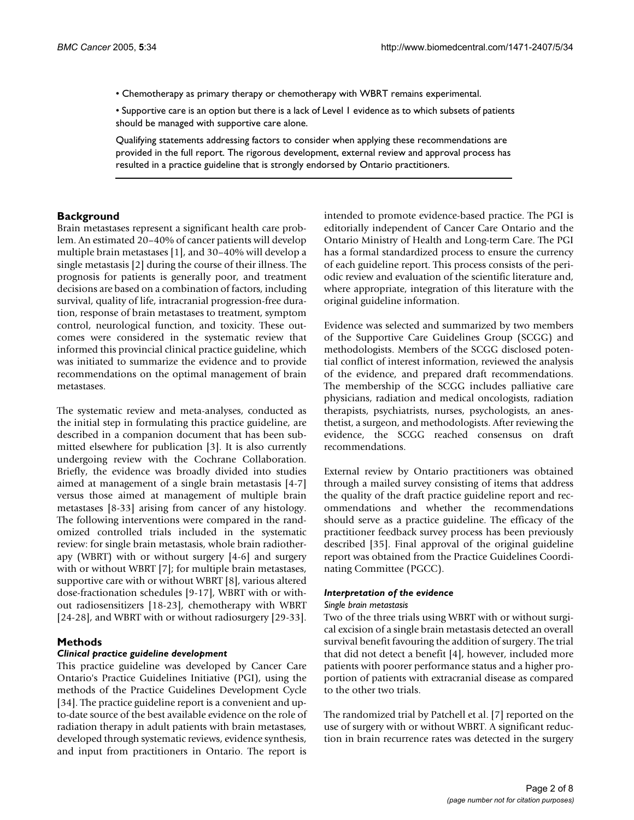• Chemotherapy as primary therapy or chemotherapy with WBRT remains experimental.

• Supportive care is an option but there is a lack of Level 1 evidence as to which subsets of patients should be managed with supportive care alone.

Qualifying statements addressing factors to consider when applying these recommendations are provided in the full report. The rigorous development, external review and approval process has resulted in a practice guideline that is strongly endorsed by Ontario practitioners.

#### **Background**

Brain metastases represent a significant health care problem. An estimated 20–40% of cancer patients will develop multiple brain metastases [1], and 30–40% will develop a single metastasis [2] during the course of their illness. The prognosis for patients is generally poor, and treatment decisions are based on a combination of factors, including survival, quality of life, intracranial progression-free duration, response of brain metastases to treatment, symptom control, neurological function, and toxicity. These outcomes were considered in the systematic review that informed this provincial clinical practice guideline, which was initiated to summarize the evidence and to provide recommendations on the optimal management of brain metastases.

The systematic review and meta-analyses, conducted as the initial step in formulating this practice guideline, are described in a companion document that has been submitted elsewhere for publication [3]. It is also currently undergoing review with the Cochrane Collaboration. Briefly, the evidence was broadly divided into studies aimed at management of a single brain metastasis [4-7] versus those aimed at management of multiple brain metastases [8-33] arising from cancer of any histology. The following interventions were compared in the randomized controlled trials included in the systematic review: for single brain metastasis, whole brain radiotherapy (WBRT) with or without surgery [4-6] and surgery with or without WBRT [7]; for multiple brain metastases, supportive care with or without WBRT [8], various altered dose-fractionation schedules [9-17], WBRT with or without radiosensitizers [18-23], chemotherapy with WBRT [24-28], and WBRT with or without radiosurgery [29-33].

#### **Methods**

#### *Clinical practice guideline development*

This practice guideline was developed by Cancer Care Ontario's Practice Guidelines Initiative (PGI), using the methods of the Practice Guidelines Development Cycle [34]. The practice guideline report is a convenient and upto-date source of the best available evidence on the role of radiation therapy in adult patients with brain metastases, developed through systematic reviews, evidence synthesis, and input from practitioners in Ontario. The report is intended to promote evidence-based practice. The PGI is editorially independent of Cancer Care Ontario and the Ontario Ministry of Health and Long-term Care. The PGI has a formal standardized process to ensure the currency of each guideline report. This process consists of the periodic review and evaluation of the scientific literature and, where appropriate, integration of this literature with the original guideline information.

Evidence was selected and summarized by two members of the Supportive Care Guidelines Group (SCGG) and methodologists. Members of the SCGG disclosed potential conflict of interest information, reviewed the analysis of the evidence, and prepared draft recommendations. The membership of the SCGG includes palliative care physicians, radiation and medical oncologists, radiation therapists, psychiatrists, nurses, psychologists, an anesthetist, a surgeon, and methodologists. After reviewing the evidence, the SCGG reached consensus on draft recommendations.

External review by Ontario practitioners was obtained through a mailed survey consisting of items that address the quality of the draft practice guideline report and recommendations and whether the recommendations should serve as a practice guideline. The efficacy of the practitioner feedback survey process has been previously described [35]. Final approval of the original guideline report was obtained from the Practice Guidelines Coordinating Committee (PGCC).

#### *Interpretation of the evidence*

#### *Single brain metastasis*

Two of the three trials using WBRT with or without surgical excision of a single brain metastasis detected an overall survival benefit favouring the addition of surgery. The trial that did not detect a benefit [4], however, included more patients with poorer performance status and a higher proportion of patients with extracranial disease as compared to the other two trials.

The randomized trial by Patchell et al. [7] reported on the use of surgery with or without WBRT. A significant reduction in brain recurrence rates was detected in the surgery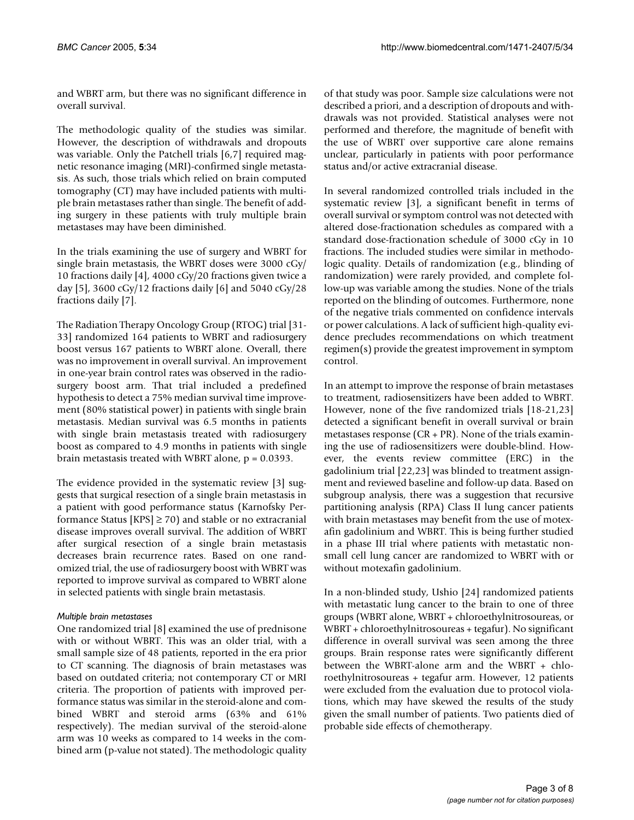and WBRT arm, but there was no significant difference in overall survival.

The methodologic quality of the studies was similar. However, the description of withdrawals and dropouts was variable. Only the Patchell trials [6,7] required magnetic resonance imaging (MRI)-confirmed single metastasis. As such, those trials which relied on brain computed tomography (CT) may have included patients with multiple brain metastases rather than single. The benefit of adding surgery in these patients with truly multiple brain metastases may have been diminished.

In the trials examining the use of surgery and WBRT for single brain metastasis, the WBRT doses were 3000 cGy/ 10 fractions daily [4], 4000 cGy/20 fractions given twice a day [5], 3600 cGy/12 fractions daily [6] and 5040 cGy/28 fractions daily [7].

The Radiation Therapy Oncology Group (RTOG) trial [31- 33] randomized 164 patients to WBRT and radiosurgery boost versus 167 patients to WBRT alone. Overall, there was no improvement in overall survival. An improvement in one-year brain control rates was observed in the radiosurgery boost arm. That trial included a predefined hypothesis to detect a 75% median survival time improvement (80% statistical power) in patients with single brain metastasis. Median survival was 6.5 months in patients with single brain metastasis treated with radiosurgery boost as compared to 4.9 months in patients with single brain metastasis treated with WBRT alone, p = 0.0393.

The evidence provided in the systematic review [3] suggests that surgical resection of a single brain metastasis in a patient with good performance status (Karnofsky Performance Status  $[KPS] \ge 70$ ) and stable or no extracranial disease improves overall survival. The addition of WBRT after surgical resection of a single brain metastasis decreases brain recurrence rates. Based on one randomized trial, the use of radiosurgery boost with WBRT was reported to improve survival as compared to WBRT alone in selected patients with single brain metastasis.

#### *Multiple brain metastases*

One randomized trial [8] examined the use of prednisone with or without WBRT. This was an older trial, with a small sample size of 48 patients, reported in the era prior to CT scanning. The diagnosis of brain metastases was based on outdated criteria; not contemporary CT or MRI criteria. The proportion of patients with improved performance status was similar in the steroid-alone and combined WBRT and steroid arms (63% and 61% respectively). The median survival of the steroid-alone arm was 10 weeks as compared to 14 weeks in the combined arm (p-value not stated). The methodologic quality of that study was poor. Sample size calculations were not described a priori, and a description of dropouts and withdrawals was not provided. Statistical analyses were not performed and therefore, the magnitude of benefit with the use of WBRT over supportive care alone remains unclear, particularly in patients with poor performance status and/or active extracranial disease.

In several randomized controlled trials included in the systematic review [3], a significant benefit in terms of overall survival or symptom control was not detected with altered dose-fractionation schedules as compared with a standard dose-fractionation schedule of 3000 cGy in 10 fractions. The included studies were similar in methodologic quality. Details of randomization (e.g., blinding of randomization) were rarely provided, and complete follow-up was variable among the studies. None of the trials reported on the blinding of outcomes. Furthermore, none of the negative trials commented on confidence intervals or power calculations. A lack of sufficient high-quality evidence precludes recommendations on which treatment regimen(s) provide the greatest improvement in symptom control.

In an attempt to improve the response of brain metastases to treatment, radiosensitizers have been added to WBRT. However, none of the five randomized trials [18-21,23] detected a significant benefit in overall survival or brain metastases response  $(CR + PR)$ . None of the trials examining the use of radiosensitizers were double-blind. However, the events review committee (ERC) in the gadolinium trial [22,23] was blinded to treatment assignment and reviewed baseline and follow-up data. Based on subgroup analysis, there was a suggestion that recursive partitioning analysis (RPA) Class II lung cancer patients with brain metastases may benefit from the use of motexafin gadolinium and WBRT. This is being further studied in a phase III trial where patients with metastatic nonsmall cell lung cancer are randomized to WBRT with or without motexafin gadolinium.

In a non-blinded study, Ushio [24] randomized patients with metastatic lung cancer to the brain to one of three groups (WBRT alone, WBRT + chloroethylnitrosoureas, or WBRT + chloroethylnitrosoureas + tegafur). No significant difference in overall survival was seen among the three groups. Brain response rates were significantly different between the WBRT-alone arm and the WBRT + chloroethylnitrosoureas + tegafur arm. However, 12 patients were excluded from the evaluation due to protocol violations, which may have skewed the results of the study given the small number of patients. Two patients died of probable side effects of chemotherapy.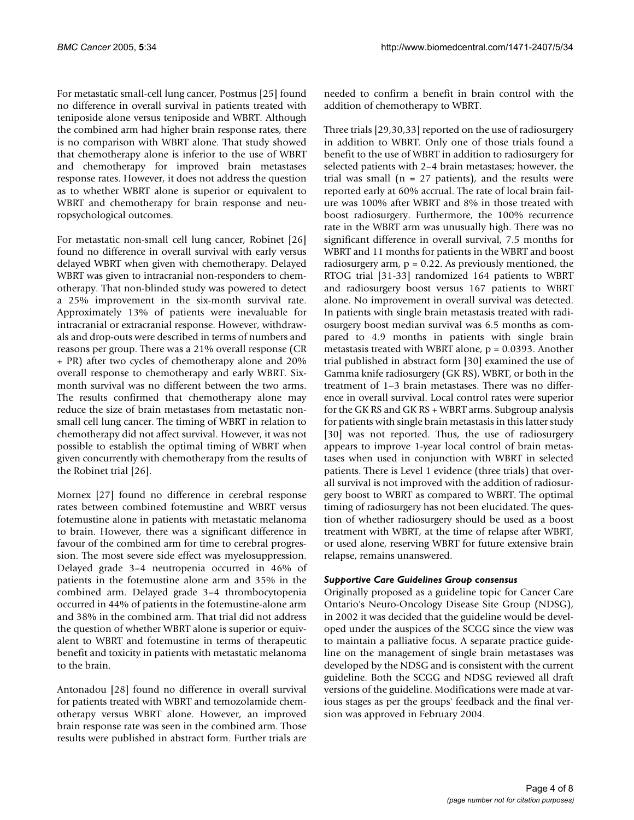For metastatic small-cell lung cancer, Postmus [25] found no difference in overall survival in patients treated with teniposide alone versus teniposide and WBRT. Although the combined arm had higher brain response rates, there is no comparison with WBRT alone. That study showed that chemotherapy alone is inferior to the use of WBRT and chemotherapy for improved brain metastases response rates. However, it does not address the question as to whether WBRT alone is superior or equivalent to WBRT and chemotherapy for brain response and neuropsychological outcomes.

For metastatic non-small cell lung cancer, Robinet [26] found no difference in overall survival with early versus delayed WBRT when given with chemotherapy. Delayed WBRT was given to intracranial non-responders to chemotherapy. That non-blinded study was powered to detect a 25% improvement in the six-month survival rate. Approximately 13% of patients were inevaluable for intracranial or extracranial response. However, withdrawals and drop-outs were described in terms of numbers and reasons per group. There was a 21% overall response (CR + PR) after two cycles of chemotherapy alone and 20% overall response to chemotherapy and early WBRT. Sixmonth survival was no different between the two arms. The results confirmed that chemotherapy alone may reduce the size of brain metastases from metastatic nonsmall cell lung cancer. The timing of WBRT in relation to chemotherapy did not affect survival. However, it was not possible to establish the optimal timing of WBRT when given concurrently with chemotherapy from the results of the Robinet trial [26].

Mornex [27] found no difference in cerebral response rates between combined fotemustine and WBRT versus fotemustine alone in patients with metastatic melanoma to brain. However, there was a significant difference in favour of the combined arm for time to cerebral progression. The most severe side effect was myelosuppression. Delayed grade 3–4 neutropenia occurred in 46% of patients in the fotemustine alone arm and 35% in the combined arm. Delayed grade 3–4 thrombocytopenia occurred in 44% of patients in the fotemustine-alone arm and 38% in the combined arm. That trial did not address the question of whether WBRT alone is superior or equivalent to WBRT and fotemustine in terms of therapeutic benefit and toxicity in patients with metastatic melanoma to the brain.

Antonadou [28] found no difference in overall survival for patients treated with WBRT and temozolamide chemotherapy versus WBRT alone. However, an improved brain response rate was seen in the combined arm. Those results were published in abstract form. Further trials are needed to confirm a benefit in brain control with the addition of chemotherapy to WBRT.

Three trials [29,30,33] reported on the use of radiosurgery in addition to WBRT. Only one of those trials found a benefit to the use of WBRT in addition to radiosurgery for selected patients with 2–4 brain metastases; however, the trial was small ( $n = 27$  patients), and the results were reported early at 60% accrual. The rate of local brain failure was 100% after WBRT and 8% in those treated with boost radiosurgery. Furthermore, the 100% recurrence rate in the WBRT arm was unusually high. There was no significant difference in overall survival, 7.5 months for WBRT and 11 months for patients in the WBRT and boost radiosurgery arm,  $p = 0.22$ . As previously mentioned, the RTOG trial [31-33] randomized 164 patients to WBRT and radiosurgery boost versus 167 patients to WBRT alone. No improvement in overall survival was detected. In patients with single brain metastasis treated with radiosurgery boost median survival was 6.5 months as compared to 4.9 months in patients with single brain metastasis treated with WBRT alone,  $p = 0.0393$ . Another trial published in abstract form [30] examined the use of Gamma knife radiosurgery (GK RS), WBRT, or both in the treatment of 1–3 brain metastases. There was no difference in overall survival. Local control rates were superior for the GK RS and GK RS + WBRT arms. Subgroup analysis for patients with single brain metastasis in this latter study [30] was not reported. Thus, the use of radiosurgery appears to improve 1-year local control of brain metastases when used in conjunction with WBRT in selected patients. There is Level 1 evidence (three trials) that overall survival is not improved with the addition of radiosurgery boost to WBRT as compared to WBRT. The optimal timing of radiosurgery has not been elucidated. The question of whether radiosurgery should be used as a boost treatment with WBRT, at the time of relapse after WBRT, or used alone, reserving WBRT for future extensive brain relapse, remains unanswered.

#### *Supportive Care Guidelines Group consensus*

Originally proposed as a guideline topic for Cancer Care Ontario's Neuro-Oncology Disease Site Group (NDSG), in 2002 it was decided that the guideline would be developed under the auspices of the SCGG since the view was to maintain a palliative focus. A separate practice guideline on the management of single brain metastases was developed by the NDSG and is consistent with the current guideline. Both the SCGG and NDSG reviewed all draft versions of the guideline. Modifications were made at various stages as per the groups' feedback and the final version was approved in February 2004.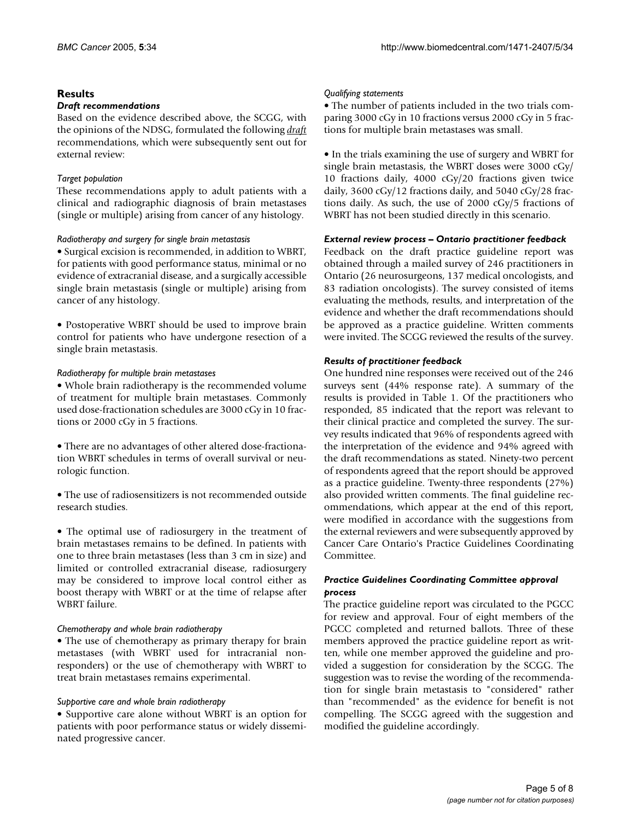#### **Results**

#### *Draft recommendations*

Based on the evidence described above, the SCGG, with the opinions of the NDSG, formulated the following *draft* recommendations, which were subsequently sent out for external review:

#### *Target population*

These recommendations apply to adult patients with a clinical and radiographic diagnosis of brain metastases (single or multiple) arising from cancer of any histology.

#### *Radiotherapy and surgery for single brain metastasis*

• Surgical excision is recommended, in addition to WBRT, for patients with good performance status, minimal or no evidence of extracranial disease, and a surgically accessible single brain metastasis (single or multiple) arising from cancer of any histology.

• Postoperative WBRT should be used to improve brain control for patients who have undergone resection of a single brain metastasis.

#### *Radiotherapy for multiple brain metastases*

• Whole brain radiotherapy is the recommended volume of treatment for multiple brain metastases. Commonly used dose-fractionation schedules are 3000 cGy in 10 fractions or 2000 cGy in 5 fractions.

• There are no advantages of other altered dose-fractionation WBRT schedules in terms of overall survival or neurologic function.

• The use of radiosensitizers is not recommended outside research studies.

• The optimal use of radiosurgery in the treatment of brain metastases remains to be defined. In patients with one to three brain metastases (less than 3 cm in size) and limited or controlled extracranial disease, radiosurgery may be considered to improve local control either as boost therapy with WBRT or at the time of relapse after WBRT failure.

#### *Chemotherapy and whole brain radiotherapy*

• The use of chemotherapy as primary therapy for brain metastases (with WBRT used for intracranial nonresponders) or the use of chemotherapy with WBRT to treat brain metastases remains experimental.

### *Supportive care and whole brain radiotherapy*

• Supportive care alone without WBRT is an option for patients with poor performance status or widely disseminated progressive cancer.

#### *Qualifying statements*

• The number of patients included in the two trials comparing 3000 cGy in 10 fractions versus 2000 cGy in 5 fractions for multiple brain metastases was small.

• In the trials examining the use of surgery and WBRT for single brain metastasis, the WBRT doses were 3000 cGy/ 10 fractions daily, 4000 cGy/20 fractions given twice daily, 3600 cGy/12 fractions daily, and 5040 cGy/28 fractions daily. As such, the use of 2000 cGy/5 fractions of WBRT has not been studied directly in this scenario.

#### *External review process – Ontario practitioner feedback*

Feedback on the draft practice guideline report was obtained through a mailed survey of 246 practitioners in Ontario (26 neurosurgeons, 137 medical oncologists, and 83 radiation oncologists). The survey consisted of items evaluating the methods, results, and interpretation of the evidence and whether the draft recommendations should be approved as a practice guideline. Written comments were invited. The SCGG reviewed the results of the survey.

#### *Results of practitioner feedback*

One hundred nine responses were received out of the 246 surveys sent (44% response rate). A summary of the results is provided in Table [1.](#page-5-0) Of the practitioners who responded, 85 indicated that the report was relevant to their clinical practice and completed the survey. The survey results indicated that 96% of respondents agreed with the interpretation of the evidence and 94% agreed with the draft recommendations as stated. Ninety-two percent of respondents agreed that the report should be approved as a practice guideline. Twenty-three respondents (27%) also provided written comments. The final guideline recommendations, which appear at the end of this report, were modified in accordance with the suggestions from the external reviewers and were subsequently approved by Cancer Care Ontario's Practice Guidelines Coordinating Committee.

#### *Practice Guidelines Coordinating Committee approval process*

The practice guideline report was circulated to the PGCC for review and approval. Four of eight members of the PGCC completed and returned ballots. Three of these members approved the practice guideline report as written, while one member approved the guideline and provided a suggestion for consideration by the SCGG. The suggestion was to revise the wording of the recommendation for single brain metastasis to "considered" rather than "recommended" as the evidence for benefit is not compelling. The SCGG agreed with the suggestion and modified the guideline accordingly.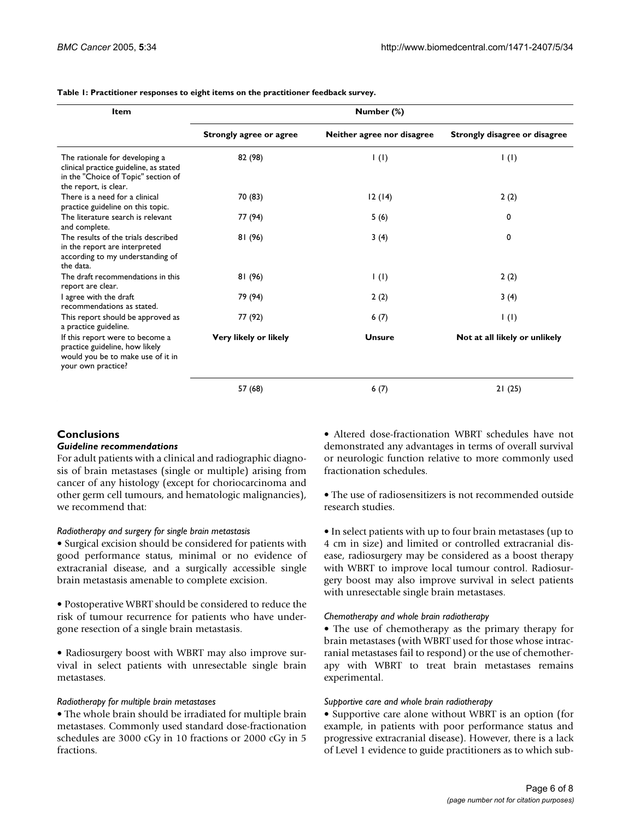| <b>Item</b>                                                                                                                              | Number (%)                     |                            |                               |
|------------------------------------------------------------------------------------------------------------------------------------------|--------------------------------|----------------------------|-------------------------------|
|                                                                                                                                          | <b>Strongly agree or agree</b> | Neither agree nor disagree | Strongly disagree or disagree |
| The rationale for developing a<br>clinical practice guideline, as stated<br>in the "Choice of Topic" section of<br>the report, is clear. | 82 (98)                        | $\vert$ (l)                | $\mathsf{I}(\mathsf{I})$      |
| There is a need for a clinical<br>practice guideline on this topic.                                                                      | 70 (83)                        | 12(14)                     | 2(2)                          |
| The literature search is relevant<br>and complete.                                                                                       | 77 (94)                        | 5(6)                       | 0                             |
| The results of the trials described<br>in the report are interpreted<br>according to my understanding of<br>the data.                    | 81 (96)                        | 3(4)                       | 0                             |
| The draft recommendations in this<br>report are clear.                                                                                   | 81 (96)                        | $\vert$ (l)                | 2(2)                          |
| I agree with the draft<br>recommendations as stated.                                                                                     | 79 (94)                        | 2(2)                       | 3(4)                          |
| This report should be approved as<br>a practice guideline.                                                                               | 77 (92)                        | 6(7)                       | $\mathsf{I}(\mathsf{I})$      |
| If this report were to become a<br>practice guideline, how likely<br>would you be to make use of it in<br>your own practice?             | Very likely or likely          | <b>Unsure</b>              | Not at all likely or unlikely |
|                                                                                                                                          | 57 (68)                        | 6(7)                       | 21(25)                        |

<span id="page-5-0"></span>**Table 1: Practitioner responses to eight items on the practitioner feedback survey.**

### **Conclusions**

#### *Guideline recommendations*

For adult patients with a clinical and radiographic diagnosis of brain metastases (single or multiple) arising from cancer of any histology (except for choriocarcinoma and other germ cell tumours, and hematologic malignancies), we recommend that:

#### *Radiotherapy and surgery for single brain metastasis*

• Surgical excision should be considered for patients with good performance status, minimal or no evidence of extracranial disease, and a surgically accessible single brain metastasis amenable to complete excision.

• Postoperative WBRT should be considered to reduce the risk of tumour recurrence for patients who have undergone resection of a single brain metastasis.

• Radiosurgery boost with WBRT may also improve survival in select patients with unresectable single brain metastases.

#### *Radiotherapy for multiple brain metastases*

• The whole brain should be irradiated for multiple brain metastases. Commonly used standard dose-fractionation schedules are 3000 cGy in 10 fractions or 2000 cGy in 5 fractions.

• Altered dose-fractionation WBRT schedules have not demonstrated any advantages in terms of overall survival or neurologic function relative to more commonly used fractionation schedules.

• The use of radiosensitizers is not recommended outside research studies.

• In select patients with up to four brain metastases (up to 4 cm in size) and limited or controlled extracranial disease, radiosurgery may be considered as a boost therapy with WBRT to improve local tumour control. Radiosurgery boost may also improve survival in select patients with unresectable single brain metastases.

#### *Chemotherapy and whole brain radiotherapy*

• The use of chemotherapy as the primary therapy for brain metastases (with WBRT used for those whose intracranial metastases fail to respond) or the use of chemotherapy with WBRT to treat brain metastases remains experimental.

#### *Supportive care and whole brain radiotherapy*

• Supportive care alone without WBRT is an option (for example, in patients with poor performance status and progressive extracranial disease). However, there is a lack of Level 1 evidence to guide practitioners as to which sub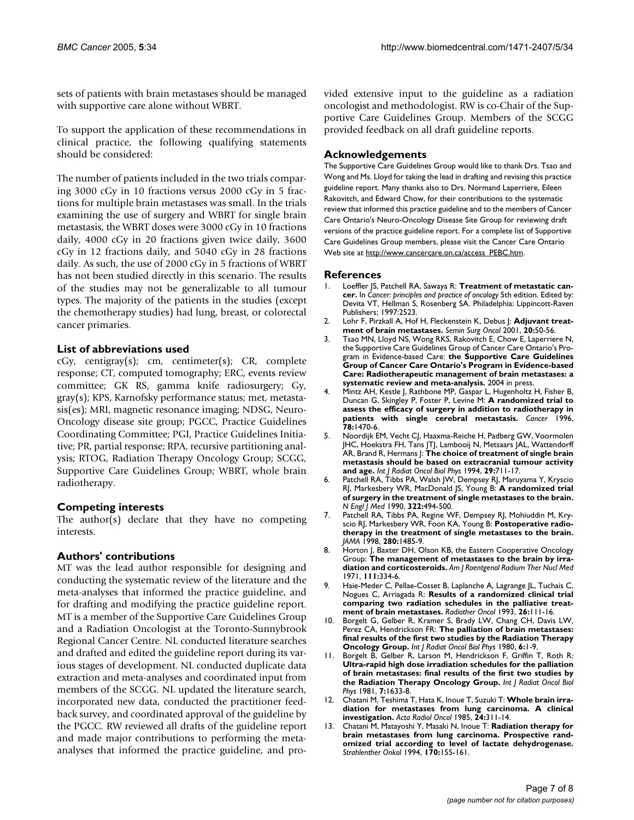sets of patients with brain metastases should be managed with supportive care alone without WBRT.

To support the application of these recommendations in clinical practice, the following qualifying statements should be considered:

The number of patients included in the two trials comparing 3000 cGy in 10 fractions versus 2000 cGy in 5 fractions for multiple brain metastases was small. In the trials examining the use of surgery and WBRT for single brain metastasis, the WBRT doses were 3000 cGy in 10 fractions daily, 4000 cGy in 20 fractions given twice daily, 3600 cGy in 12 fractions daily, and 5040 cGy in 28 fractions daily. As such, the use of 2000 cGy in 5 fractions of WBRT has not been studied directly in this scenario. The results of the studies may not be generalizable to all tumour types. The majority of the patients in the studies (except the chemotherapy studies) had lung, breast, or colorectal cancer primaries.

#### **List of abbreviations used**

cGy, centigray(s); cm, centimeter(s); CR, complete response; CT, computed tomography; ERC, events review committee; GK RS, gamma knife radiosurgery; Gy, gray(s); KPS, Karnofsky performance status; met, metastasis(es); MRI, magnetic resonance imaging; NDSG, Neuro-Oncology disease site group; PGCC, Practice Guidelines Coordinating Committee; PGI, Practice Guidelines Initiative; PR, partial response; RPA, recursive partitioning analysis; RTOG, Radiation Therapy Oncology Group; SCGG, Supportive Care Guidelines Group; WBRT, whole brain radiotherapy.

#### **Competing interests**

The author(s) declare that they have no competing interests.

#### **Authors' contributions**

MT was the lead author responsible for designing and conducting the systematic review of the literature and the meta-analyses that informed the practice guideline, and for drafting and modifying the practice guideline report. MT is a member of the Supportive Care Guidelines Group and a Radiation Oncologist at the Toronto-Sunnybrook Regional Cancer Centre. NL conducted literature searches and drafted and edited the guideline report during its various stages of development. NL conducted duplicate data extraction and meta-analyses and coordinated input from members of the SCGG. NL updated the literature search, incorporated new data, conducted the practitioner feedback survey, and coordinated approval of the guideline by the PGCC. RW reviewed all drafts of the guideline report and made major contributions to performing the metaanalyses that informed the practice guideline, and provided extensive input to the guideline as a radiation oncologist and methodologist. RW is co-Chair of the Supportive Care Guidelines Group. Members of the SCGG provided feedback on all draft guideline reports.

#### **Acknowledgements**

The Supportive Care Guidelines Group would like to thank Drs. Tsao and Wong and Ms. Lloyd for taking the lead in drafting and revising this practice guideline report. Many thanks also to Drs. Normand Laperriere, Eileen Rakovitch, and Edward Chow, for their contributions to the systematic review that informed this practice guideline and to the members of Cancer Care Ontario's Neuro-Oncology Disease Site Group for reviewing draft versions of the practice guideline report. For a complete list of Supportive Care Guidelines Group members, please visit the Cancer Care Ontario Web site at [http://www.cancercare.on.ca/access\\_PEBC.htm.](http://www.cancercare.on.ca/access_PEBC.htm)

#### **References**

- 1. Loeffler JS, Patchell RA, Sawaya R: **Treatment of metastatic cancer.** In *Cancer: principles and practice of oncology* 5th edition. Edited by: Devita VT, Hellman S, Rosenberg SA. Philadelphia: Lippincott-Raven Publishers; 1997:2523.
- 2. Lohr F, Pirzkall A, Hof H, Fleckenstein K, Debus J: **[Adjuvant treat](http://www.ncbi.nlm.nih.gov/entrez/query.fcgi?cmd=Retrieve&db=PubMed&dopt=Abstract&list_uids=11291132)[ment of brain metastases.](http://www.ncbi.nlm.nih.gov/entrez/query.fcgi?cmd=Retrieve&db=PubMed&dopt=Abstract&list_uids=11291132)** *Semin Surg Oncol* 2001, **20:**50-56.
- 3. Tsao MN, Lloyd NS, Wong RKS, Rakovitch E, Chow E, Laperriere N, the Supportive Care Guidelines Group of Cancer Care Ontario's Program in Evidence-based Care: **the Supportive Care Guidelines Group of Cancer Care Ontario's Program in Evidence-based Care: Radiotherapeutic management of brain metastases: a systematic review and meta-analysis.** 2004 in press.
- 4. Mintz AH, Kestle J, Rathbone MP, Gaspar L, Hugenholtz H, Fisher B, Duncan G, Skingley P, Foster P, Levine M: **[A randomized trial to](http://www.ncbi.nlm.nih.gov/entrez/query.fcgi?cmd=Retrieve&db=PubMed&dopt=Abstract&list_uids=8839553) [assess the efficacy of surgery in addition to radiotherapy in](http://www.ncbi.nlm.nih.gov/entrez/query.fcgi?cmd=Retrieve&db=PubMed&dopt=Abstract&list_uids=8839553) [patients with single cerebral metastasis.](http://www.ncbi.nlm.nih.gov/entrez/query.fcgi?cmd=Retrieve&db=PubMed&dopt=Abstract&list_uids=8839553)** *Cancer* 1996, **78:**1470-6.
- 5. Noordijk EM, Vecht CJ, Haaxma-Reiche H, Padberg GW, Voormolen JHC, Hoekstra FH, Tans JTJ, Lambooij N, Metsaars JAL, Wattendorff AR, Brand R, Hermans J: [The choice of treatment of single brain](http://www.ncbi.nlm.nih.gov/entrez/query.fcgi?cmd=Retrieve&db=PubMed&dopt=Abstract&list_uids=8040016) **[metastasis should be based on extracranial tumour activity](http://www.ncbi.nlm.nih.gov/entrez/query.fcgi?cmd=Retrieve&db=PubMed&dopt=Abstract&list_uids=8040016) [and age.](http://www.ncbi.nlm.nih.gov/entrez/query.fcgi?cmd=Retrieve&db=PubMed&dopt=Abstract&list_uids=8040016)** *Int J Radiat Oncol Biol Phys* 1994, **29:**711-17.
- 6. Patchell RA, Tibbs PA, Walsh JW, Dempsey RJ, Maruyama Y, Kryscio RJ, Markesbery WR, MacDonald JS, Young B: **[A randomized trial](http://www.ncbi.nlm.nih.gov/entrez/query.fcgi?cmd=Retrieve&db=PubMed&dopt=Abstract&list_uids=2405271) [of surgery in the treatment of single metastases to the brain.](http://www.ncbi.nlm.nih.gov/entrez/query.fcgi?cmd=Retrieve&db=PubMed&dopt=Abstract&list_uids=2405271)** *N Engl J Med* 1990, **322:**494-500.
- 7. Patchell RA, Tibbs PA, Regine WF, Dempsey RJ, Mohiuddin M, Kryscio RJ, Markesbery WR, Foon KA, Young B: **[Postoperative radio](http://www.ncbi.nlm.nih.gov/entrez/query.fcgi?cmd=Retrieve&db=PubMed&dopt=Abstract&list_uids=9809728)[therapy in the treatment of single metastases to the brain.](http://www.ncbi.nlm.nih.gov/entrez/query.fcgi?cmd=Retrieve&db=PubMed&dopt=Abstract&list_uids=9809728)** *JAMA* 1998, **280:**1485-9.
- 8. Horton J, Baxter DH, Olson KB, the Eastern Cooperative Oncology Group: **[The management of metastases to the brain by irra](http://www.ncbi.nlm.nih.gov/entrez/query.fcgi?cmd=Retrieve&db=PubMed&dopt=Abstract&list_uids=5541678)[diation and corticosteroids.](http://www.ncbi.nlm.nih.gov/entrez/query.fcgi?cmd=Retrieve&db=PubMed&dopt=Abstract&list_uids=5541678)** *Am J Roentgenol Radium Ther Nucl Med* 1971, **111:**334-6.
- 9. Haie-Meder C, Pellae-Cosset B, Laplanche A, Lagrange JL, Tuchais C, Nogues C, Arriagada R: **[Results of a randomized clinical trial](http://www.ncbi.nlm.nih.gov/entrez/query.fcgi?cmd=Retrieve&db=PubMed&dopt=Abstract&list_uids=7681997) [comparing two radiation schedules in the palliative treat](http://www.ncbi.nlm.nih.gov/entrez/query.fcgi?cmd=Retrieve&db=PubMed&dopt=Abstract&list_uids=7681997)[ment of brain metastases.](http://www.ncbi.nlm.nih.gov/entrez/query.fcgi?cmd=Retrieve&db=PubMed&dopt=Abstract&list_uids=7681997)** *Radiother Oncol* 1993, **26:**111-16.
- 10. Borgelt G, Gelber R, Kramer S, Brady LW, Chang CH, Davis LW, Perez CA, Hendrickson FR: **[The palliation of brain metastases:](http://www.ncbi.nlm.nih.gov/entrez/query.fcgi?cmd=Retrieve&db=PubMed&dopt=Abstract&list_uids=6154024) [final results of the first two studies by the Radiation Therapy](http://www.ncbi.nlm.nih.gov/entrez/query.fcgi?cmd=Retrieve&db=PubMed&dopt=Abstract&list_uids=6154024) [Oncology Group.](http://www.ncbi.nlm.nih.gov/entrez/query.fcgi?cmd=Retrieve&db=PubMed&dopt=Abstract&list_uids=6154024)** *Int J Radiat Oncol Biol Phys* 1980, **6:**1-9.
- 11. Borgelt B, Gelber R, Larson M, Hendrickson F, Griffin T, Roth R: **Ultra-rapid high dose irradiation schedules for the palliation [of brain metastases: final results of the first two studies by](http://www.ncbi.nlm.nih.gov/entrez/query.fcgi?cmd=Retrieve&db=PubMed&dopt=Abstract&list_uids=6174490) [the Radiation Therapy Oncology Group.](http://www.ncbi.nlm.nih.gov/entrez/query.fcgi?cmd=Retrieve&db=PubMed&dopt=Abstract&list_uids=6174490)** *Int J Radiat Oncol Biol Phys* 1981, **7:**1633-8.
- 12. Chatani M, Teshima T, Hata K, Inoue T, Suzuki T: **[Whole brain irra](http://www.ncbi.nlm.nih.gov/entrez/query.fcgi?cmd=Retrieve&db=PubMed&dopt=Abstract&list_uids=2994386)[diation for metastases from lung carcinoma. A clinical](http://www.ncbi.nlm.nih.gov/entrez/query.fcgi?cmd=Retrieve&db=PubMed&dopt=Abstract&list_uids=2994386) [investigation.](http://www.ncbi.nlm.nih.gov/entrez/query.fcgi?cmd=Retrieve&db=PubMed&dopt=Abstract&list_uids=2994386)** *Acta Radiol Oncol* 1985, **24:**311-14.
- 13. Chatani M, Matayoshi Y, Masaki N, Inoue T: **[Radiation therapy for](http://www.ncbi.nlm.nih.gov/entrez/query.fcgi?cmd=Retrieve&db=PubMed&dopt=Abstract&list_uids=8160096) brain metastases from lung carcinoma. Prospective rand[omized trial according to level of lactate dehydrogenase.](http://www.ncbi.nlm.nih.gov/entrez/query.fcgi?cmd=Retrieve&db=PubMed&dopt=Abstract&list_uids=8160096)** *Strahlenther Onkol* 1994, **170:**155-161.